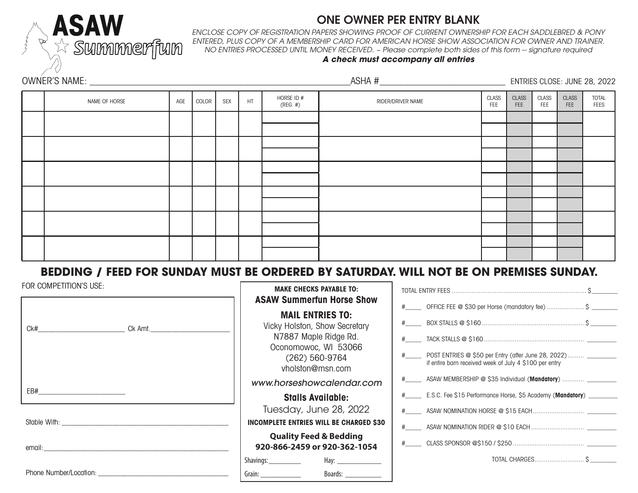

# ONE OWNER PER ENTRY BLANK

*ENCLOSE COPY OF REGISTRATION PAPERS SHOWING PROOF OF CURRENT OWNERSHIP FOR EACH SADDLEBRED & PONY ENTERED, PLUS COPY OF A MEMBERSHIP CARD FOR AMERICAN HORSE SHOW ASSOCIATION FOR OWNER AND TRAINER. NO ENTRIES PROCESSED UNTIL MONEY RECEIVED. ~ Please complete both sides of this form -- signature required*

## *A check must accompany all entries*

|  |               |     |       |            |    |                           |                   | ENTRIES CLOSE: JUNE 28, 2022 |                     |              |                            |                             |
|--|---------------|-----|-------|------------|----|---------------------------|-------------------|------------------------------|---------------------|--------------|----------------------------|-----------------------------|
|  | NAME OF HORSE | AGE | COLOR | <b>SEX</b> | HT | HORSE ID #<br>$(REG. \#)$ | RIDER/DRIVER NAME | <b>CLASS</b><br>FEE          | CLASS<br><b>FEE</b> | CLASS<br>FEE | <b>CLASS</b><br><b>FEE</b> | <b>TOTAL</b><br><b>FEES</b> |
|  |               |     |       |            |    |                           |                   |                              |                     |              |                            |                             |
|  |               |     |       |            |    |                           |                   |                              |                     |              |                            |                             |
|  |               |     |       |            |    |                           |                   |                              |                     |              |                            |                             |
|  |               |     |       |            |    |                           |                   |                              |                     |              |                            |                             |
|  |               |     |       |            |    |                           |                   |                              |                     |              |                            |                             |
|  |               |     |       |            |    |                           |                   |                              |                     |              |                            |                             |
|  |               |     |       |            |    |                           |                   |                              |                     |              |                            |                             |
|  |               |     |       |            |    |                           |                   |                              |                     |              |                            |                             |

# **BEDDING / FEED FOR SUNDAY MUST BE ORDERED BY SATURDAY. WILL NOT BE ON PREMISES SUNDAY.**

| FOR COMPETITION'S USE:                                                                                                                                                                                                         | <b>MAKE CHECKS PAYABLE TO:</b>                                                                                                                    |                                                                                                                                     |  |  |
|--------------------------------------------------------------------------------------------------------------------------------------------------------------------------------------------------------------------------------|---------------------------------------------------------------------------------------------------------------------------------------------------|-------------------------------------------------------------------------------------------------------------------------------------|--|--|
|                                                                                                                                                                                                                                | <b>ASAW Summerfun Horse Show</b>                                                                                                                  | #_______ OFFICE FEE @ \$30 per Horse (mandatory fee)  \$ ________                                                                   |  |  |
| Ck# Ck Amt.                                                                                                                                                                                                                    | <b>MAIL ENTRIES TO:</b><br>Vicky Holston, Show Secretary<br>N7887 Maple Ridge Rd.<br>Oconomowoc, WI 53066<br>$(262)$ 560-9764<br>vholston@msn.com | #___________ POST ENTRIES @ \$50 per Entry (after June 28, 2022) ________<br>if entire barn received week of July 4 \$100 per entry |  |  |
|                                                                                                                                                                                                                                | www.horseshowcalendar.com                                                                                                                         | # ______ ASAW MEMBERSHIP @ \$35 Individual (Mandatory)  _________                                                                   |  |  |
|                                                                                                                                                                                                                                | <b>Stalls Available:</b>                                                                                                                          | #_______ E.S.C. Fee \$15 Performance Horse, \$5 Academy (Mandatory) _________                                                       |  |  |
|                                                                                                                                                                                                                                | Tuesday, June 28, 2022                                                                                                                            |                                                                                                                                     |  |  |
|                                                                                                                                                                                                                                | <b>INCOMPLETE ENTRIES WILL BE CHARGED \$30</b>                                                                                                    |                                                                                                                                     |  |  |
| email: the contract of the contract of the contract of the contract of the contract of the contract of the contract of the contract of the contract of the contract of the contract of the contract of the contract of the con | <b>Quality Feed &amp; Bedding</b><br>920-866-2459 or 920-362-1054                                                                                 |                                                                                                                                     |  |  |
|                                                                                                                                                                                                                                | Shavings:_____________<br>Hay: ________________                                                                                                   |                                                                                                                                     |  |  |
|                                                                                                                                                                                                                                | Boards: _____________                                                                                                                             |                                                                                                                                     |  |  |